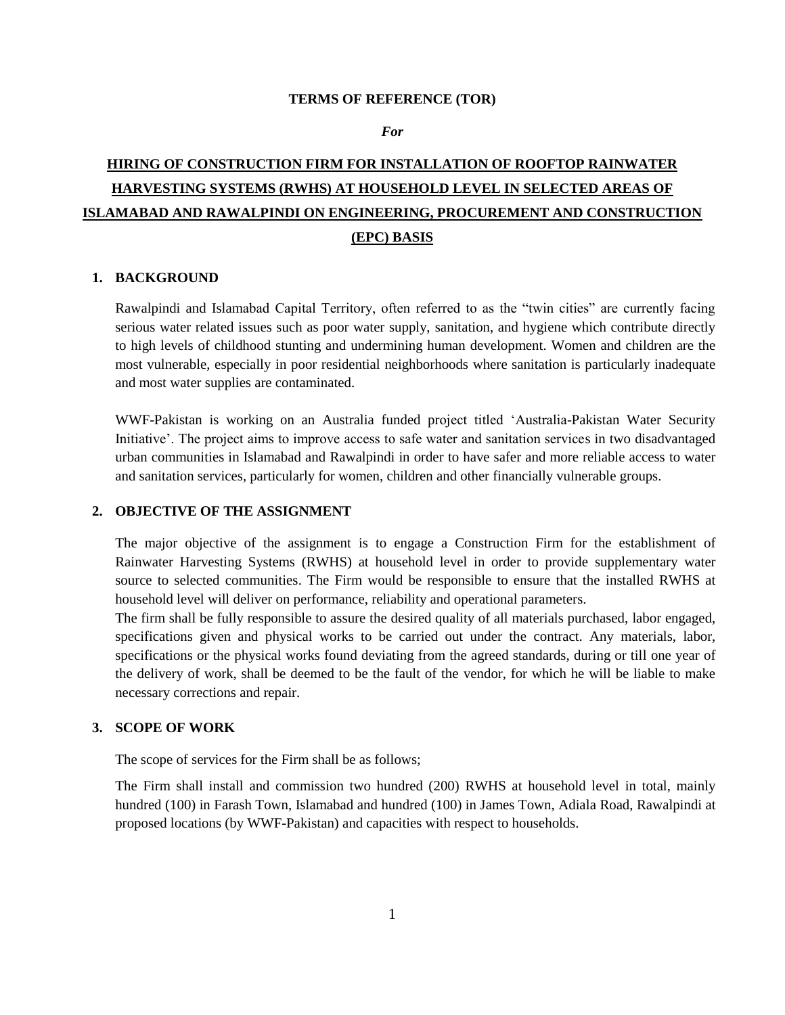#### **TERMS OF REFERENCE (TOR)**

#### *For*

# **HIRING OF CONSTRUCTION FIRM FOR INSTALLATION OF ROOFTOP RAINWATER HARVESTING SYSTEMS (RWHS) AT HOUSEHOLD LEVEL IN SELECTED AREAS OF ISLAMABAD AND RAWALPINDI ON ENGINEERING, PROCUREMENT AND CONSTRUCTION (EPC) BASIS**

#### **1. BACKGROUND**

Rawalpindi and Islamabad Capital Territory, often referred to as the "twin cities" are currently facing serious water related issues such as poor water supply, sanitation, and hygiene which contribute directly to high levels of childhood stunting and undermining human development. Women and children are the most vulnerable, especially in poor residential neighborhoods where sanitation is particularly inadequate and most water supplies are contaminated.

WWF-Pakistan is working on an Australia funded project titled "Australia-Pakistan Water Security Initiative". The project aims to improve access to safe water and sanitation services in two disadvantaged urban communities in Islamabad and Rawalpindi in order to have safer and more reliable access to water and sanitation services, particularly for women, children and other financially vulnerable groups.

### **2. OBJECTIVE OF THE ASSIGNMENT**

The major objective of the assignment is to engage a Construction Firm for the establishment of Rainwater Harvesting Systems (RWHS) at household level in order to provide supplementary water source to selected communities. The Firm would be responsible to ensure that the installed RWHS at household level will deliver on performance, reliability and operational parameters.

The firm shall be fully responsible to assure the desired quality of all materials purchased, labor engaged, specifications given and physical works to be carried out under the contract. Any materials, labor, specifications or the physical works found deviating from the agreed standards, during or till one year of the delivery of work, shall be deemed to be the fault of the vendor, for which he will be liable to make necessary corrections and repair.

## **3. SCOPE OF WORK**

The scope of services for the Firm shall be as follows;

The Firm shall install and commission two hundred (200) RWHS at household level in total, mainly hundred (100) in Farash Town, Islamabad and hundred (100) in James Town, Adiala Road, Rawalpindi at proposed locations (by WWF-Pakistan) and capacities with respect to households.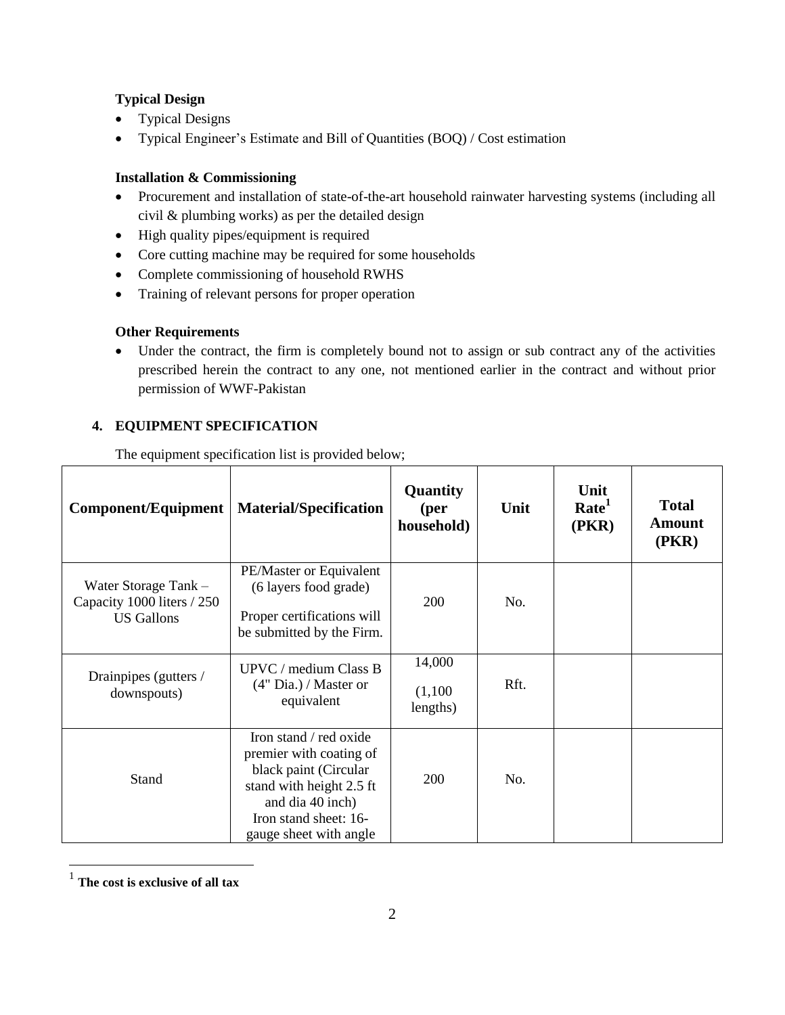# **Typical Design**

- Typical Designs
- Typical Engineer"s Estimate and Bill of Quantities (BOQ) / Cost estimation

## **Installation & Commissioning**

- Procurement and installation of state-of-the-art household rainwater harvesting systems (including all civil & plumbing works) as per the detailed design
- High quality pipes/equipment is required
- Core cutting machine may be required for some households
- Complete commissioning of household RWHS
- Training of relevant persons for proper operation

# **Other Requirements**

 Under the contract, the firm is completely bound not to assign or sub contract any of the activities prescribed herein the contract to any one, not mentioned earlier in the contract and without prior permission of WWF-Pakistan

# **4. EQUIPMENT SPECIFICATION**

The equipment specification list is provided below;

| <b>Component/Equipment</b>                                              | <b>Material/Specification</b>                                                                                                                                                 | Quantity<br>(per<br>household) | Unit | Unit<br>Rate <sup>1</sup><br>(PKR) | <b>Total</b><br><b>Amount</b><br>(PKR) |
|-------------------------------------------------------------------------|-------------------------------------------------------------------------------------------------------------------------------------------------------------------------------|--------------------------------|------|------------------------------------|----------------------------------------|
| Water Storage Tank -<br>Capacity 1000 liters / 250<br><b>US</b> Gallons | PE/Master or Equivalent<br>(6 layers food grade)<br>Proper certifications will<br>be submitted by the Firm.                                                                   | 200                            | No.  |                                    |                                        |
| Drainpipes (gutters /<br>downspouts)                                    | UPVC / medium Class B<br>$(4"$ Dia.) / Master or<br>equivalent                                                                                                                | 14,000<br>(1,100)<br>lengths)  | Rft. |                                    |                                        |
| Stand                                                                   | Iron stand / red oxide<br>premier with coating of<br>black paint (Circular<br>stand with height 2.5 ft<br>and dia 40 inch)<br>Iron stand sheet: 16-<br>gauge sheet with angle | 200                            | No.  |                                    |                                        |

 1 **The cost is exclusive of all tax**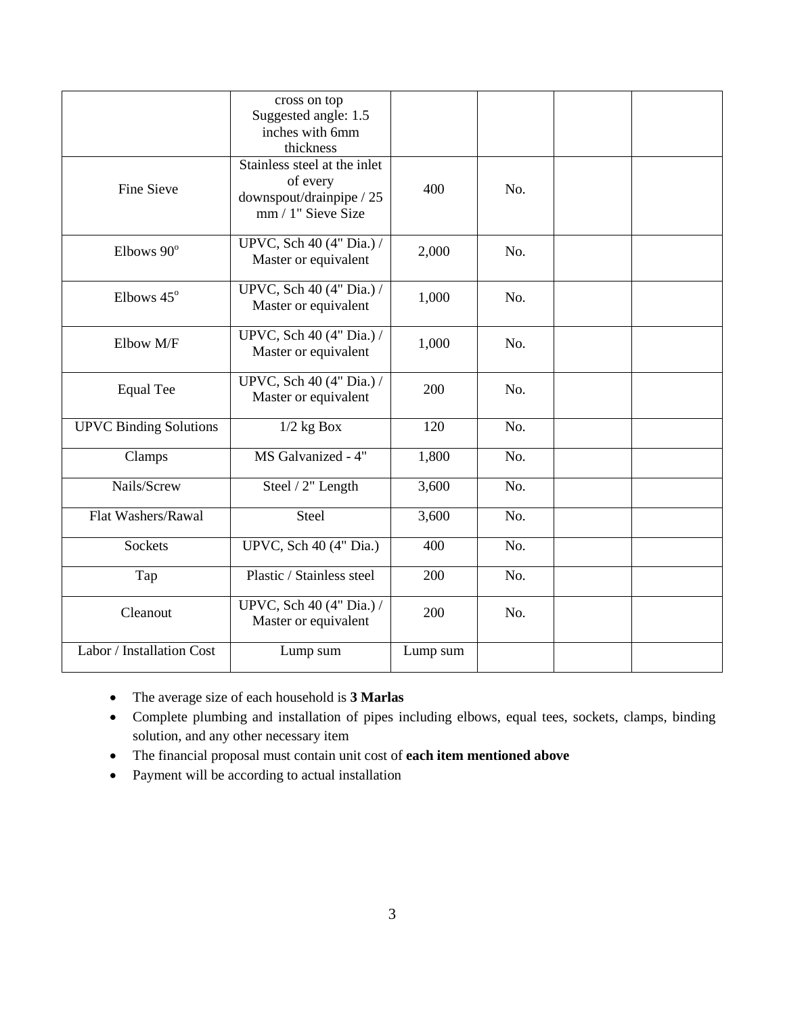|                               | cross on top<br>Suggested angle: 1.5<br>inches with 6mm<br>thickness                       |          |     |  |
|-------------------------------|--------------------------------------------------------------------------------------------|----------|-----|--|
| <b>Fine Sieve</b>             | Stainless steel at the inlet<br>of every<br>downspout/drainpipe / 25<br>mm / 1" Sieve Size | 400      | No. |  |
| Elbows 90°                    | UPVC, Sch 40 (4" Dia.) /<br>Master or equivalent                                           | 2,000    | No. |  |
| Elbows 45°                    | UPVC, Sch 40 (4" Dia.) /<br>Master or equivalent                                           | 1,000    | No. |  |
| Elbow M/F                     | UPVC, Sch 40 (4" Dia.) /<br>Master or equivalent                                           | 1,000    | No. |  |
| <b>Equal Tee</b>              | UPVC, Sch 40 (4" Dia.) /<br>Master or equivalent                                           | 200      | No. |  |
| <b>UPVC Binding Solutions</b> | $1/2$ kg $\overline{Box}$                                                                  | 120      | No. |  |
| Clamps                        | MS Galvanized - 4"                                                                         | 1,800    | No. |  |
| Nails/Screw                   | Steel / 2" Length                                                                          | 3,600    | No. |  |
| Flat Washers/Rawal            | Steel                                                                                      | 3,600    | No. |  |
| <b>Sockets</b>                | UPVC, Sch 40 (4" Dia.)                                                                     | 400      | No. |  |
| Tap                           | Plastic / Stainless steel                                                                  | 200      | No. |  |
| Cleanout                      | UPVC, Sch 40 (4" Dia.) /<br>Master or equivalent                                           | 200      | No. |  |
| Labor / Installation Cost     | Lump sum                                                                                   | Lump sum |     |  |

- The average size of each household is **3 Marlas**
- Complete plumbing and installation of pipes including elbows, equal tees, sockets, clamps, binding solution, and any other necessary item
- The financial proposal must contain unit cost of **each item mentioned above**
- Payment will be according to actual installation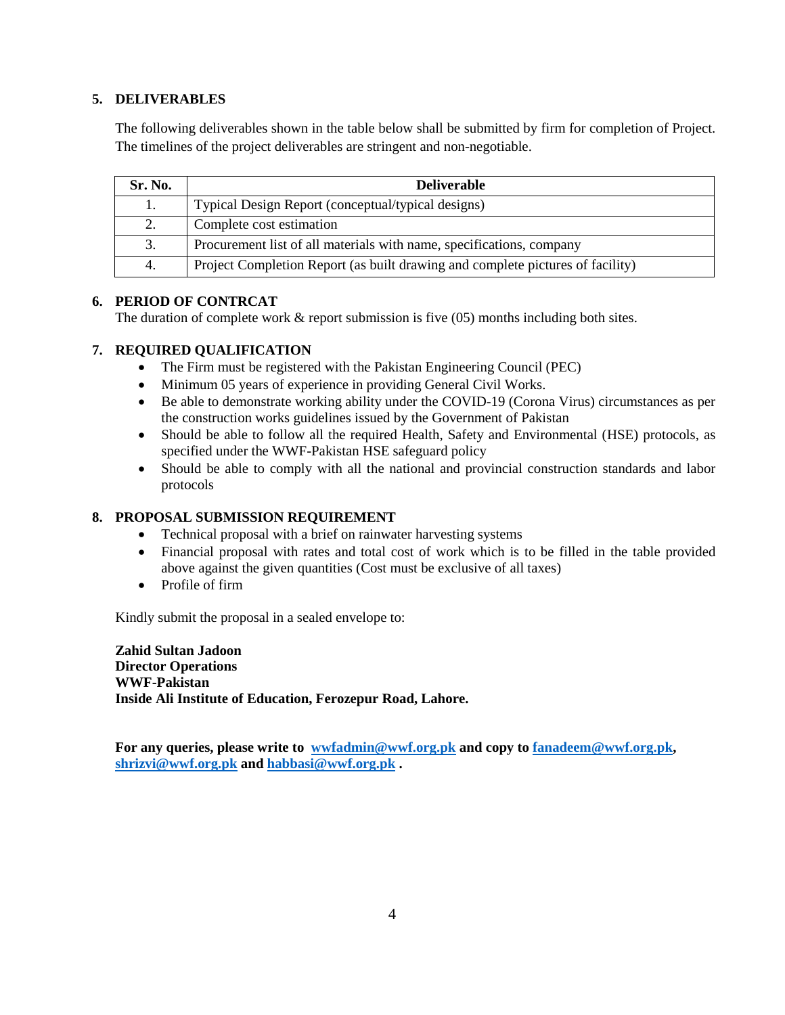# **5. DELIVERABLES**

The following deliverables shown in the table below shall be submitted by firm for completion of Project. The timelines of the project deliverables are stringent and non-negotiable.

| Sr. No. | <b>Deliverable</b>                                                             |
|---------|--------------------------------------------------------------------------------|
| 1.      | Typical Design Report (conceptual/typical designs)                             |
| 2.      | Complete cost estimation                                                       |
| 3.      | Procurement list of all materials with name, specifications, company           |
| 4.      | Project Completion Report (as built drawing and complete pictures of facility) |

## **6. PERIOD OF CONTRCAT**

The duration of complete work & report submission is five (05) months including both sites.

## **7. REQUIRED QUALIFICATION**

- The Firm must be registered with the Pakistan Engineering Council (PEC)
- Minimum 05 years of experience in providing General Civil Works.
- Be able to demonstrate working ability under the COVID-19 (Corona Virus) circumstances as per the construction works guidelines issued by the Government of Pakistan
- Should be able to follow all the required Health, Safety and Environmental (HSE) protocols, as specified under the WWF-Pakistan HSE safeguard policy
- Should be able to comply with all the national and provincial construction standards and labor protocols

## **8. PROPOSAL SUBMISSION REQUIREMENT**

- Technical proposal with a brief on rainwater harvesting systems
- Financial proposal with rates and total cost of work which is to be filled in the table provided above against the given quantities (Cost must be exclusive of all taxes)
- Profile of firm

Kindly submit the proposal in a sealed envelope to:

**Zahid Sultan Jadoon Director Operations WWF-Pakistan Inside Ali Institute of Education, Ferozepur Road, Lahore.** 

**For any queries, please write to [wwfadmin@wwf.org.pk](mailto:wwfadmin@wwf.org.pk) and copy to [fanadeem@wwf.org.pk,](mailto:fanadeem@wwf.org.pk) [shrizvi@wwf.org.pk](mailto:shrizvi@wwf.org.pk) and [habbasi@wwf.org.pk](mailto:habbasi@wwf.org.pk) .**